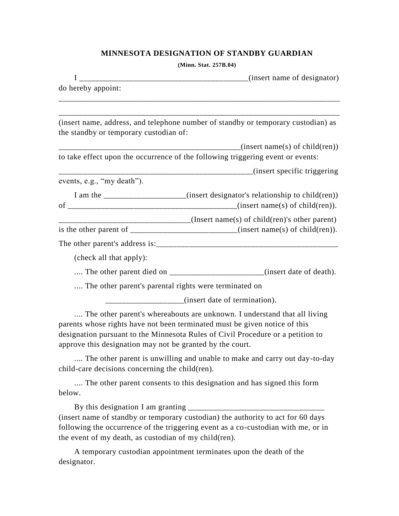## **MINNESOTA DESIGNATION OF STANDBY GUARDIAN**

**(Minn. Stat. 257B.04)**

| do hereby appoint:                                    |                                                                                                                                                                                                                                                                                                                                                                                                   |
|-------------------------------------------------------|---------------------------------------------------------------------------------------------------------------------------------------------------------------------------------------------------------------------------------------------------------------------------------------------------------------------------------------------------------------------------------------------------|
|                                                       |                                                                                                                                                                                                                                                                                                                                                                                                   |
| the standby or temporary custodian of:                | (insert name, address, and telephone number of standby or temporary custodian) as                                                                                                                                                                                                                                                                                                                 |
|                                                       | (insert name(s) of child(ren))<br>to take effect upon the occurrence of the following triggering event or events:                                                                                                                                                                                                                                                                                 |
|                                                       |                                                                                                                                                                                                                                                                                                                                                                                                   |
| events, e.g., "my death").                            |                                                                                                                                                                                                                                                                                                                                                                                                   |
|                                                       | I am the ____________________(insert designator's relationship to child(ren))                                                                                                                                                                                                                                                                                                                     |
|                                                       | _______________________________(Insert name(s) of child(ren)'s other parent)                                                                                                                                                                                                                                                                                                                      |
|                                                       | is the other parent of $\frac{1}{\frac{1}{1-\frac{1}{1-\frac{1}{1-\frac{1}{1-\frac{1}{1-\frac{1}{1-\frac{1}{1-\frac{1}{1-\frac{1}{1-\frac{1}{1-\frac{1}{1-\frac{1}{1-\frac{1}{1-\frac{1}{1-\frac{1}{1-\frac{1}{1-\frac{1}{1-\frac{1}{1-\frac{1}{1-\frac{1}{1-\frac{1}{1-\frac{1}{1-\frac{1}{1-\frac{1}{1-\frac{1}{1-\frac{1}{1-\frac{1}{1-\frac{1}{1-\frac{1}{1-\frac{1}{1-\frac{1}{1-\frac{1}{1$ |
|                                                       |                                                                                                                                                                                                                                                                                                                                                                                                   |
| (check all that apply):                               |                                                                                                                                                                                                                                                                                                                                                                                                   |
|                                                       | The other parent died on ________________________(insert date of death).                                                                                                                                                                                                                                                                                                                          |
| The other parent's parental rights were terminated on |                                                                                                                                                                                                                                                                                                                                                                                                   |
|                                                       | ________________(insert date of termination).                                                                                                                                                                                                                                                                                                                                                     |

.... The other parent's whereabouts are unknown. I understand that all living parents whose rights have not been terminated must be given notice of this designation pursuant to the Minnesota Rules of Civil Procedure or a petition to approve this designation may not be granted by the court.

.... The other parent is unwilling and unable to make and carry out day-to-day child-care decisions concerning the child(ren).

.... The other parent consents to this designation and has signed this form below.

By this designation I am granting  $\frac{1}{2}$ (insert name of standby or temporary custodian) the authority to act for 60 days following the occurrence of the triggering event as a co-custodian with me, or in the event of my death, as custodian of my child(ren).

A temporary custodian appointment terminates upon the death of the designator.